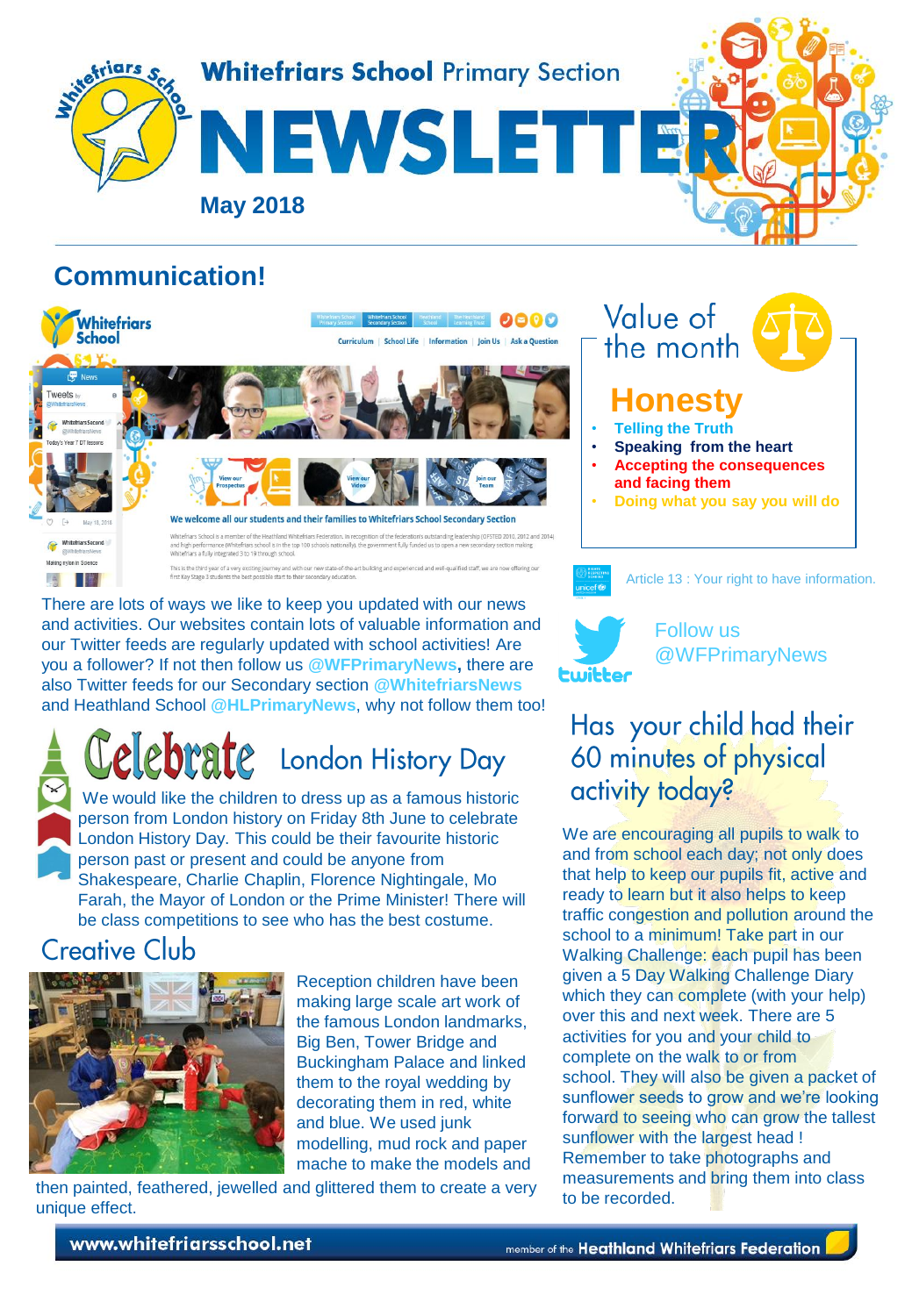

# **Communication!**



.<br>This is the third year of a very exciting journey and with our new state-of-the-art building and experienced and well-qualified staff, we are now offering our<br>first Key Stage 3 students the best possible start to their s

There are lots of ways we like to keep you updated with our news and activities. Our websites contain lots of valuable information and our Twitter feeds are regularly updated with school activities! Are you a follower? If not then follow us **@WFPrimaryNews,** there are also Twitter feeds for our Secondary section **@WhitefriarsNews** and Heathland School **@HLPrimaryNews**, why not follow them too!

# Lelebrate London History Day

We would like the children to dress up as a famous historic person from London history on Friday 8th June to celebrate London History Day. This could be their favourite historic person past or present and could be anyone from Shakespeare, Charlie Chaplin, Florence Nightingale, Mo Farah, the Mayor of London or the Prime Minister! There will be class competitions to see who has the best costume.

# **Creative Club**

日曜



Reception children have been making large scale art work of the famous London landmarks, Big Ben, Tower Bridge and Buckingham Palace and linked them to the royal wedding by decorating them in red, white and blue. We used junk modelling, mud rock and paper mache to make the models and

then painted, feathered, jewelled and glittered them to create a very to be recorded. unique effect.

Value of the month **Honest** • **Telling the Truth** • **Speaking from the heart**

- **Accepting the consequences and facing them**
- **Doing what you say you will do**



Article 13 : Your right to have information.

:witter

#### Follow us @WFPrimaryNews

# Has your child had their 60 minutes of physical activity today?

[We are encouraging all pupils to walk](https://www.google.co.uk/url?sa=i&source=images&cd=&cad=rja&uact=8&ved=2ahUKEwiJrqzfxZvbAhWCWBQKHWZPBcoQjRx6BAgBEAU&url=http://pngimg.com/imgs/flowers/sunflower/&psig=AOvVaw1I7kWROw7vsuJfJARZlvZa&ust=1527154966662529) to and from school each day; not only does that help to keep our pupils fit, active and ready to learn but it also helps to keep traffic congestion and pollution around the school to a minimum! Take part in our Walking Challenge: each pupil has been given a 5 Day Walking Challenge Diary which they can complete (with your help) over this and next week. There are 5 activities for you and your child to complete on the walk to or from school. They will also be given a packet of sunflower seeds to grow and we're looking forward to seeing who can grow the tallest sunflower with the largest head ! Remember to take photographs and measurements and bring them into class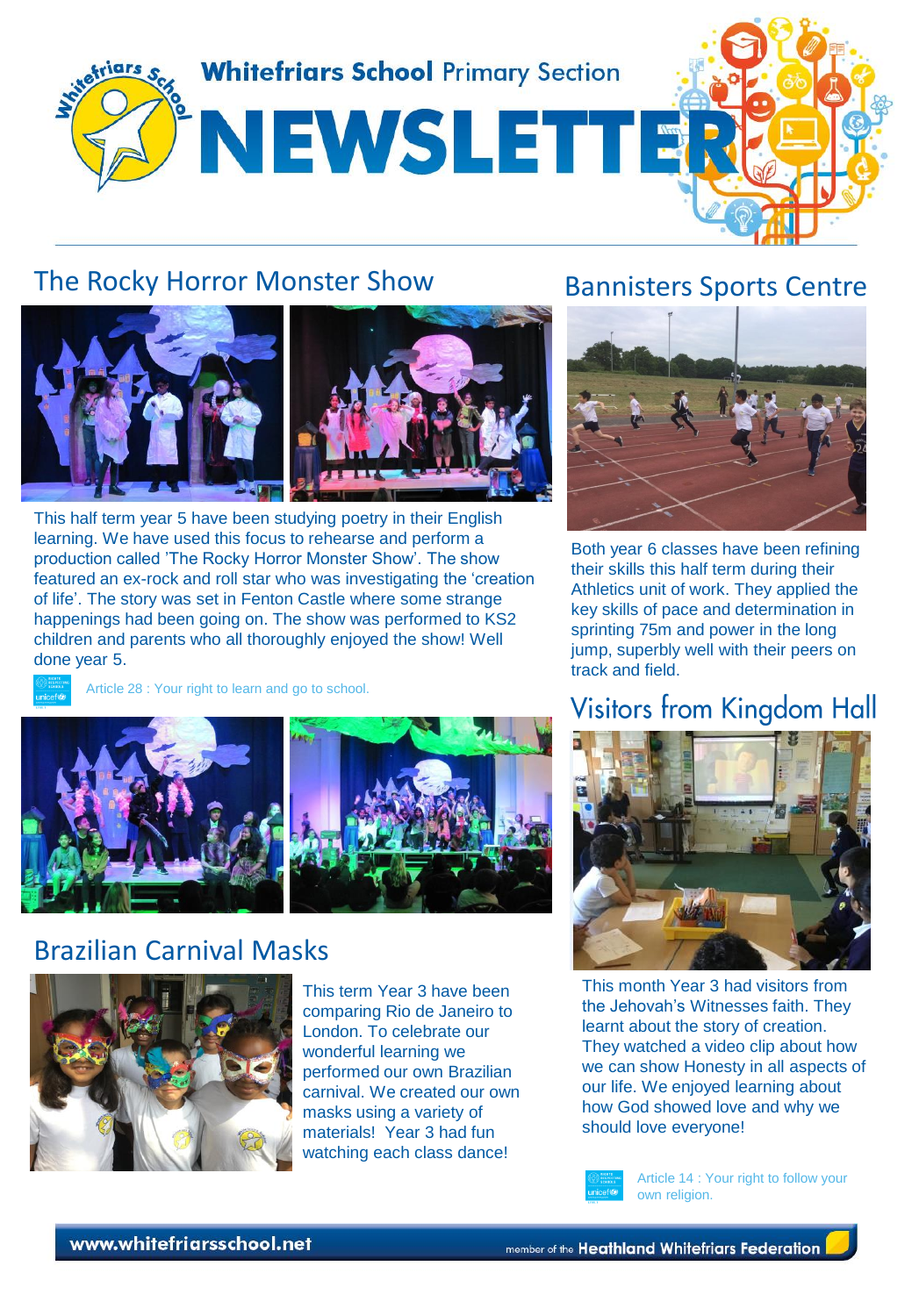

### The Rocky Horror Monster Show



This half term year 5 have been studying poetry in their English learning. We have used this focus to rehearse and perform a production called 'The Rocky Horror Monster Show'. The show featured an ex-rock and roll star who was investigating the 'creation of life'. The story was set in Fenton Castle where some strange happenings had been going on. The show was performed to KS2 children and parents who all thoroughly enjoyed the show! Well done year 5.



Article 28 : Your right to learn and go to school.



# Brazilian Carnival Masks



This term Year 3 have been comparing Rio de Janeiro to London. To celebrate our wonderful learning we performed our own Brazilian carnival. We created our own masks using a variety of materials! Year 3 had fun watching each class dance!

## Bannisters Sports Centre



Both year 6 classes have been refining their skills this half term during their Athletics unit of work. They applied the key skills of pace and determination in sprinting 75m and power in the long jump, superbly well with their peers on track and field.

# Visitors from Kingdom Hall



This month Year 3 had visitors from the Jehovah's Witnesses faith. They learnt about the story of creation. They watched a video clip about how we can show Honesty in all aspects of our life. We enjoyed learning about how God showed love and why we should love everyone!



Article 14 : Your right to follow your own religion.